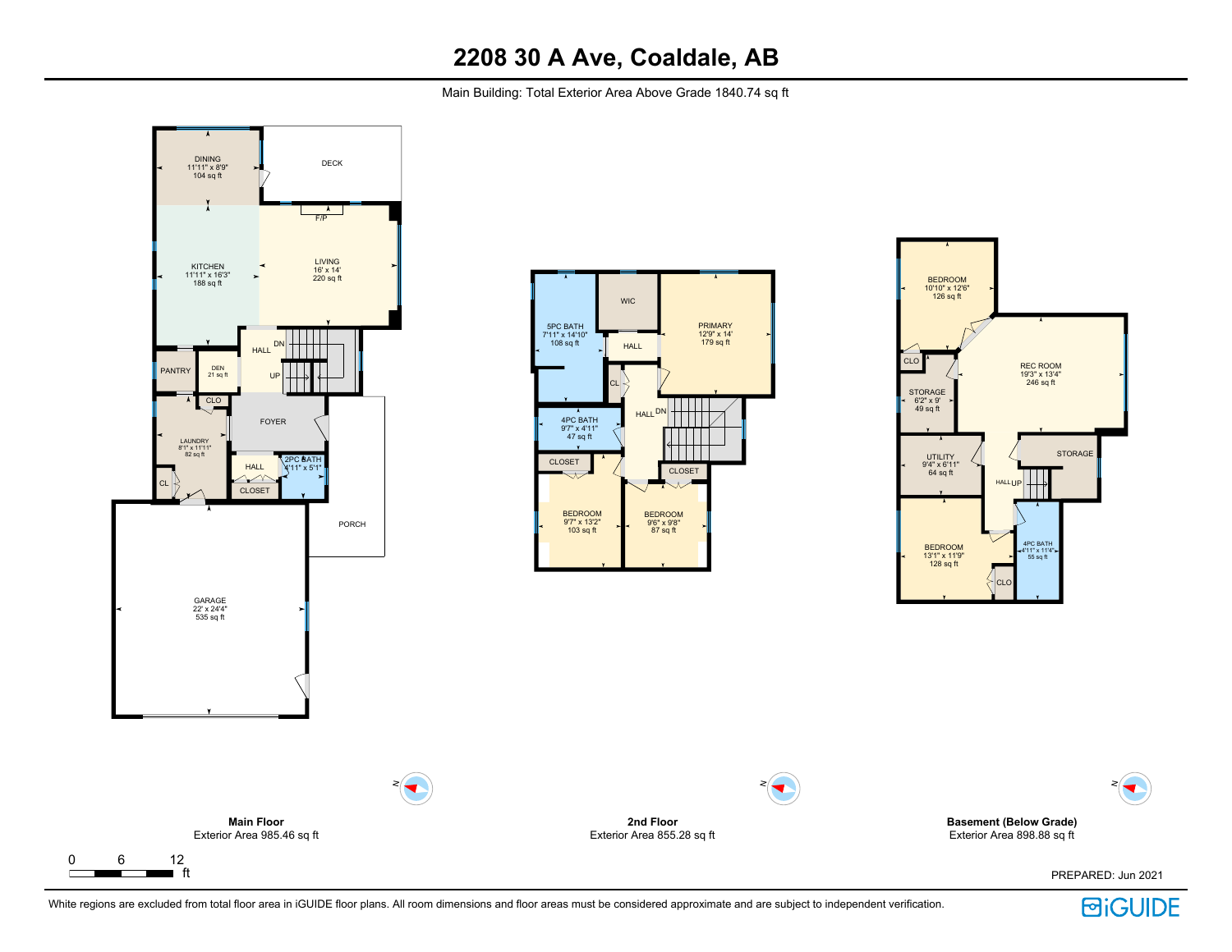Main Building: Total Exterior Area Above Grade 1840.74 sq ft



 $\Gamma$ 



N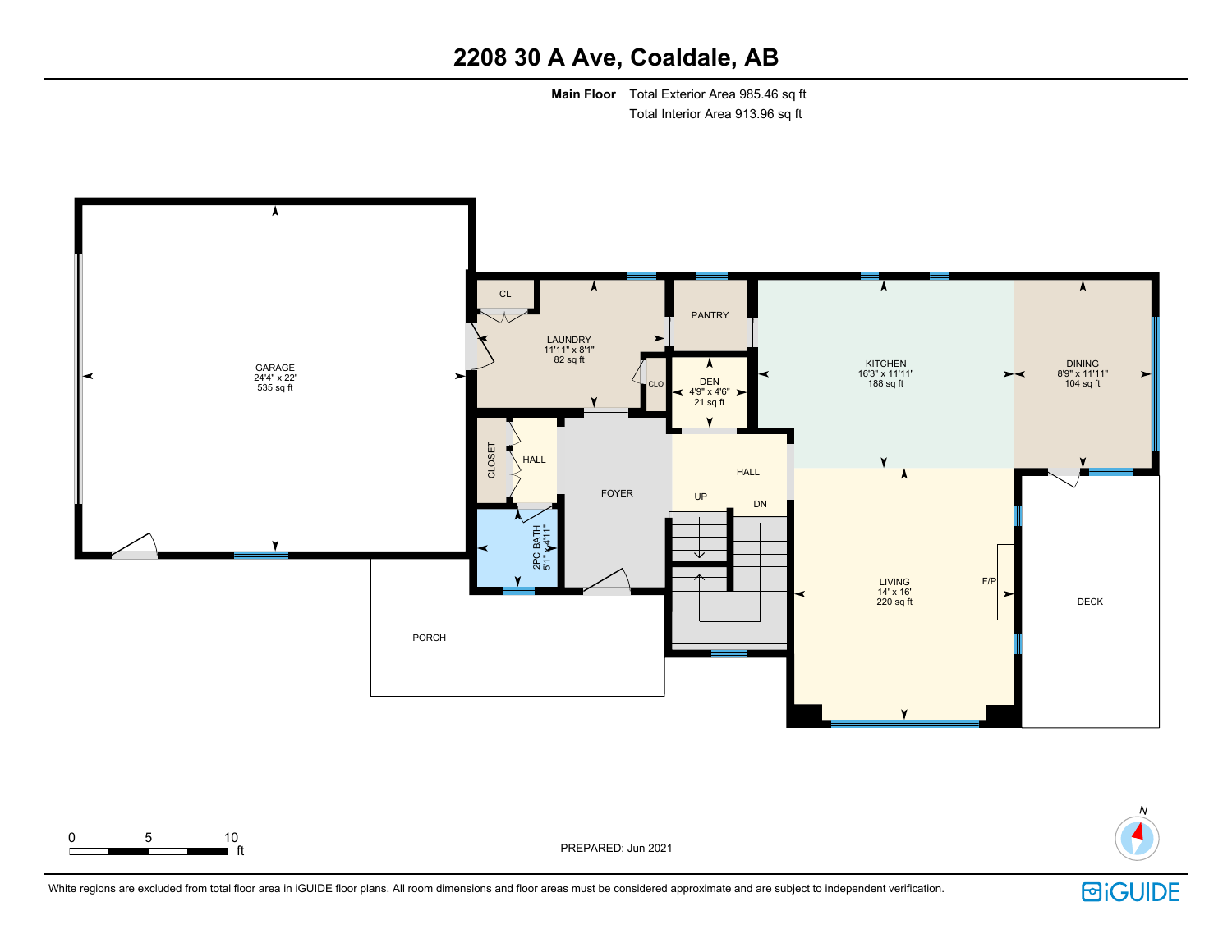**Main Floor** Total Exterior Area 985.46 sq ft Total Interior Area 913.96 sq ft





ft PREPARED: Jun 2021



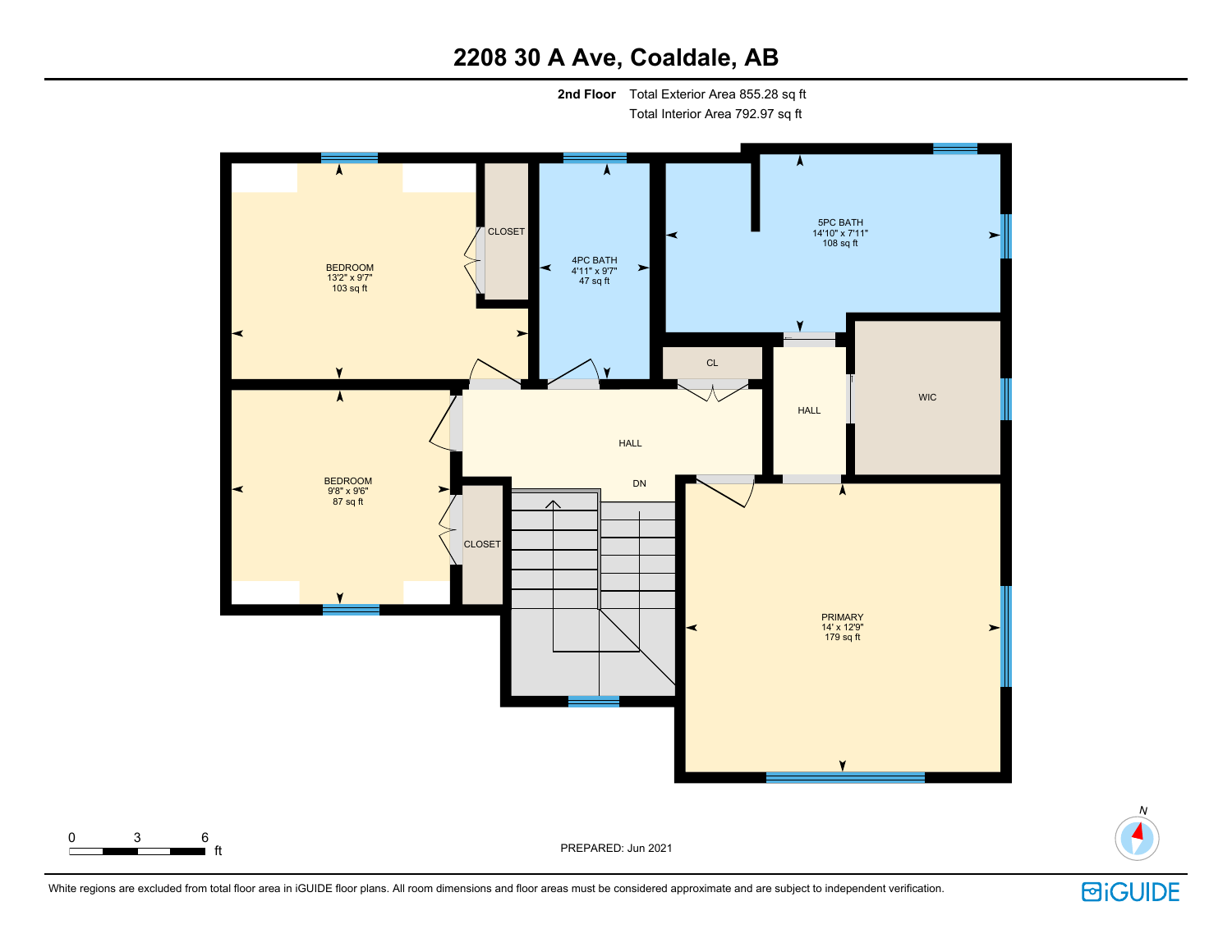**2nd Floor** Total Exterior Area 855.28 sq ft Total Interior Area 792.97 sq ft



White regions are excluded from total floor area in iGUIDE floor plans. All room dimensions and floor areas must be considered approximate and are subject to independent verification.



N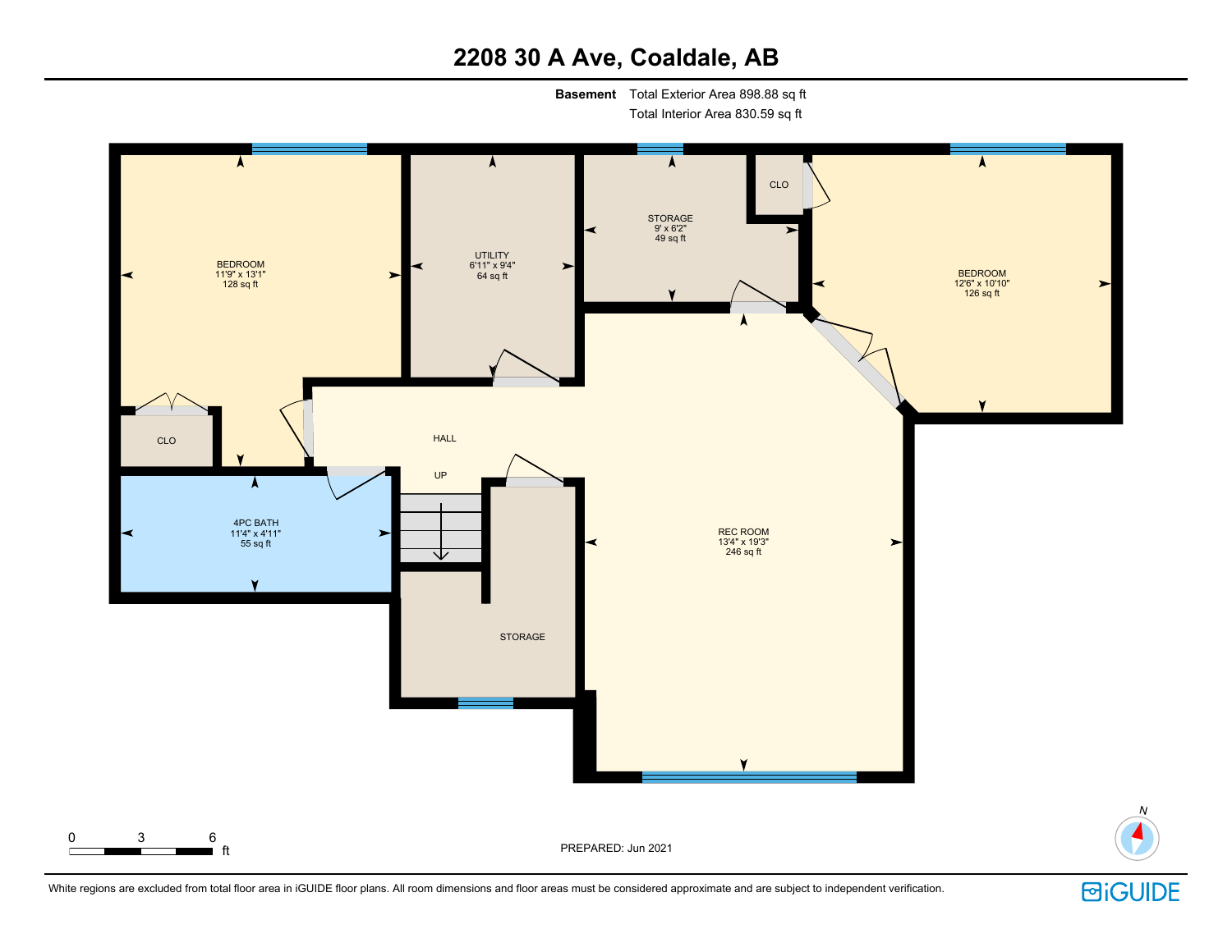**Basement** Total Exterior Area 898.88 sq ft

Total Interior Area 830.59 sq ft





N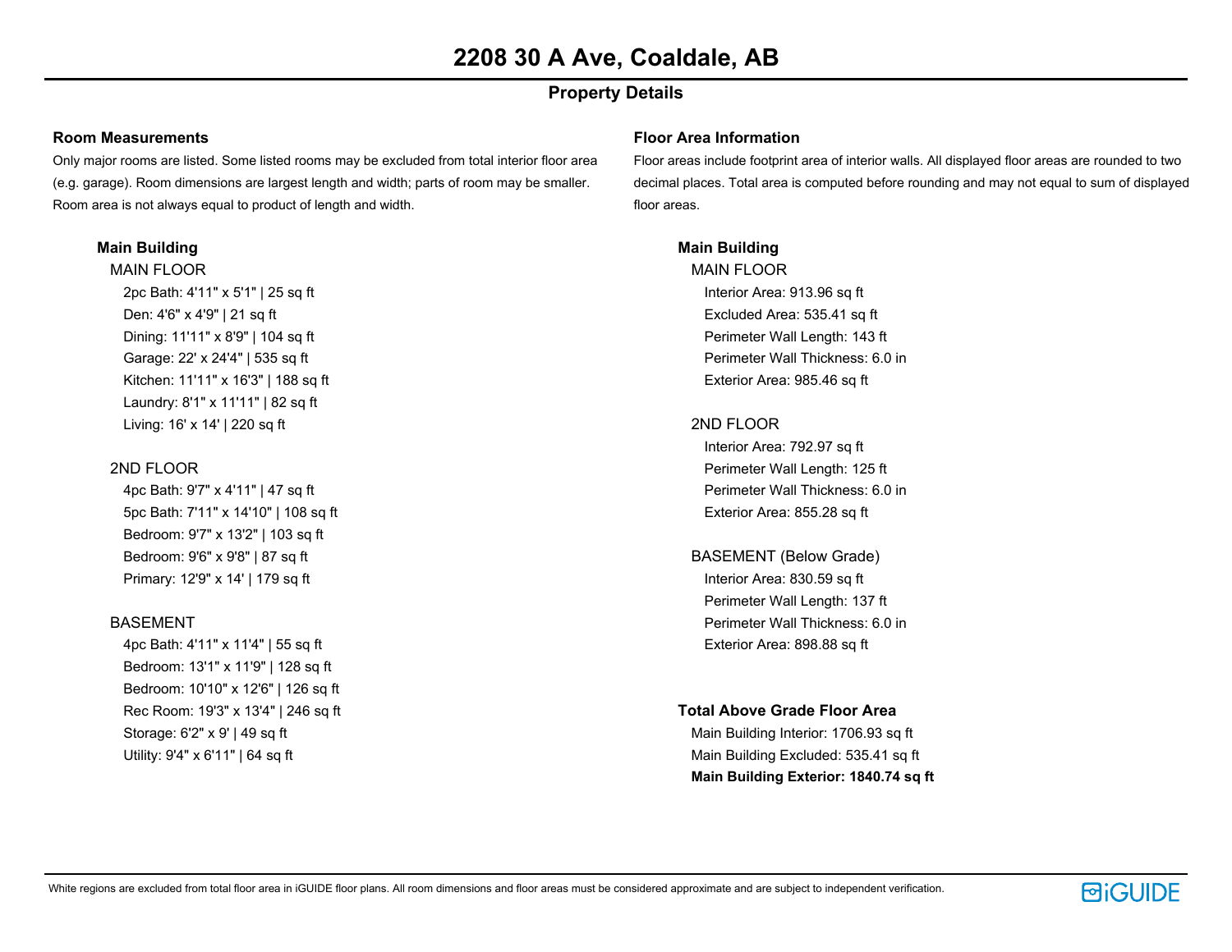# **Property Details**

#### **Room Measurements**

Only major rooms are listed. Some listed rooms may be excluded from total interior floor area (e.g. garage). Room dimensions are largest length and width; parts of room may be smaller. Room area is not always equal to product of length and width.

## **Main Building**

MAIN FLOOR 2pc Bath: 4'11" x 5'1" | 25 sq ft Den: 4'6" x 4'9" | 21 sq ft Dining: 11'11" x 8'9" | 104 sq ft Garage: 22' x 24'4" | 535 sq ft Kitchen: 11'11" x 16'3" | 188 sq ft Laundry: 8'1" x 11'11" | 82 sq ft Living: 16' x 14' | 220 sq ft

# 2ND FLOOR

4pc Bath: 9'7" x 4'11" | 47 sq ft 5pc Bath: 7'11" x 14'10" | 108 sq ft Bedroom: 9'7" x 13'2" | 103 sq ft Bedroom: 9'6" x 9'8" | 87 sq ft Primary: 12'9" x 14' | 179 sq ft

## BASEMENT

4pc Bath: 4'11" x 11'4" | 55 sq ft Bedroom: 13'1" x 11'9" | 128 sq ft Bedroom: 10'10" x 12'6" | 126 sq ft Rec Room: 19'3" x 13'4" | 246 sq ft Storage: 6'2" x 9' | 49 sq ft Utility: 9'4" x 6'11" | 64 sq ft

#### **Floor Area Information**

Floor areas include footprint area of interior walls. All displayed floor areas are rounded to two decimal places. Total area is computed before rounding and may not equal to sum of displayed floor areas.

## **Main Building**

MAIN FLOOR Interior Area: 913.96 sq ft Excluded Area: 535.41 sq ft Perimeter Wall Length: 143 ft Perimeter Wall Thickness: 6.0 in Exterior Area: 985.46 sq ft

# 2ND FLOOR

Interior Area: 792.97 sq ft Perimeter Wall Length: 125 ft Perimeter Wall Thickness: 6.0 in Exterior Area: 855.28 sq ft

BASEMENT (Below Grade) Interior Area: 830.59 sq ft Perimeter Wall Length: 137 ft Perimeter Wall Thickness: 6.0 in Exterior Area: 898.88 sq ft

## **Total Above Grade Floor Area**

Main Building Interior: 1706.93 sq ft Main Building Excluded: 535.41 sq ft **Main Building Exterior: 1840.74 sq ft**